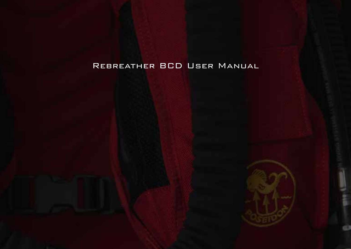# Rebreather BCD User Manual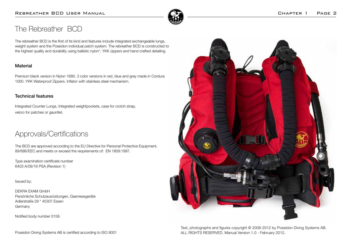

## The Rebreather BCD

The rebreather BCD is the first of its kind and features include integrated exchangeable lungs, weight system and the Poseidon individual patch system. The rebreather BCD is constructed to the highest quality and durability using ballistic nylon\*, YKK zippers and hand crafted detailing.

### Material

Premium black version in Nylon 1680. 3 color versions in red, blue and grey made in Cordura 1000. YKK Waterproof Zippers. Inflator with stainless steel mechanism.

#### Technical features

Integrated Counter Lungs, Integrated weightpockets, case for crotch strap, velcro for patches or gauntlet.

## Approvals/Certifications

The BCD are approved according to the EU Directive for Personal Protective Equipment, 89/686/EEC and meets or exceed the requirements of: EN 1809:1997.

Type examination certificate number 6403 A/09/16 PSA (Revision 1)

Issued by;

DEKRA EXAM GmbH Persönliche Schutzausrüstungen, Gasmessgeräte Adlerstraße 29 \* 45307 Essen Germany

Notified body number 0158.

Poseidon Diving Systems AB is certified according to ISO 9001



Text, photographs and figures copyright © 2008-2012 by Poseidon Diving Systems AB. ALL RIGHTS RESERVED. Manual Version 1.0 - February 2012.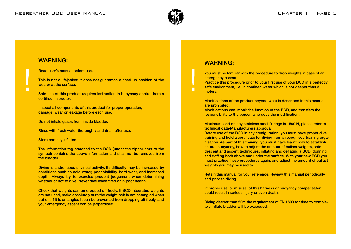

### WARNING:

П

Read user's manual before use.

This is not a lifejacket: it does not guarantee a head up position of the wearer at the surface.

Safe use of this product requires instruction in buoyancy control from a certified instructor.

Inspect all components of this product for proper operation, damage, wear or leakage before each use.

Do not inhale gases from inside bladder.

Rinse with fresh water thoroughly and drain after use.

Store partially inflated.

The information tag attached to the BCD (under the zipper next to the symbol) contains the above information and shall not be removed from the bladder.

Diving is a strenuous physical activity. Its difficulty may be increased by conditions such as cold water, poor visibility, hard work, and increased depth. Always try to exercise prudent judgement when determining whether or not to dive. Never dive when tired or in poor health.

Check that weights can be dropped off freely. If BCD integrated weights are not used, make absolutely sure the weight belt is not entangled when put on. If it is entangled it can be prevented from dropping off freely, and your emergency ascent can be jeopardised.

### WARNING:

 $\blacksquare$ 

You must be familiar with the procedure to drop weights in case of an emergency ascent.

Practice this procedure prior to your first use of your BCD in a perfectly safe environment, i.e. in confined water which is not deeper than 3 meters.

Modifications of the product beyond what is described in this manual are prohibited.

Modifications can impair the function of the BCD, and transfers the responsibility to the person who does the modification.

Maximum load on any stainless steel D-rings is 1500 N, please refer to technical data/Manufacturers approval.

Before use of the BCD in any configuration, you must have proper dive training and hold a certificate for diving from a recognised training organisation. As part of this training, you must have learnt how to establish neutral buoyancy, how to adjust the amount of ballast weights, safe descent and ascent techniques, inflating and deflating a BCD, donning and doffing both above and under the surface. With your new BCD you must practice these procedures again, and adjust the amount of ballast weights you may be used to.

Retain this manual for your reference. Review this manual periodically, and prior to diving.

Improper use, or misuse, of this harness or buoyancy compensator could result in serious injury or even death.

Diving deeper than 50m the requirement of EN 1809 for time to completely inflate bladder will be exceeded.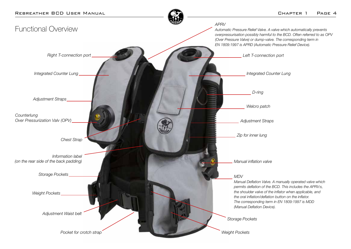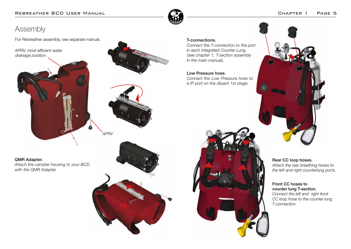

# Assembly

For Rebreather assembly, see separate manual.

*APRV, most efficient water drainage position.*



#### QMR Adapter.

*Attach the cansiter housing to your BCD with the QMR Adapter.*



*APRV*



#### T-connections.

*Connect the T-connection to the port in each Integrated Counter Lung, (see chapter 1, T-section assembly in the main manual).*

### Low Pressure hose.

*Connect the Low Pressure hose to a IP port on the diluent 1st stage.*





Rear CC loop hoses. *Attach the rear breathing hoses to the left and right counterlung ports.*

#### Front CC hoses to counter lung T-section. *Connect the left and right front CC loop hose to the counter lung T-connection.*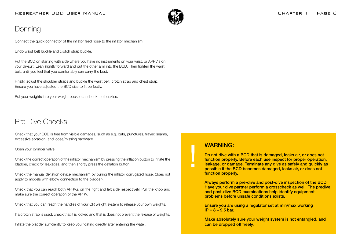

# **Donning**

Connect the quick connector of the inflator feed hose to the inflator mechanism.

Undo waist belt buckle and crotch strap buckle.

Put the BCD on starting with side where you have no instruments on your wrist, or APRV:s on your drysuit. Lean slightly forward and put the other arm into the BCD. Then tighten the waist belt, until you feel that you comfortably can carry the load.

Finally, adjust the shoulder straps and buckle the waist belt, crotch strap and chest strap. Ensure you have adjusted the BCD size to fit perfectly.

Put your weights into your weight pockets and lock the buckles.

# Pre Dive Checks

Check that your BCD is free from visible damages, such as e.g. cuts, punctures, frayed seams, excessive abrasion, and loose/missing hardware.

Open your cylinder valve.

Check the correct operation of the inflator mechanism by pressing the inflation button to inflate the bladder, check for leakages, and then shortly press the deflation button.

Check the manual deflation device mechanism by pulling the inflator corrugated hose. (does not apply to models with elbow connection to the bladder).

Check that you can reach both APRV:s on the right and left side respectively. Pull the knob and make sure the correct operation of the APRV.

Check that you can reach the handles of your QR weight system to release your own weights.

If a crotch strap is used, check that it is locked and that is does not prevent the release of weights.

Inflate the bladder sufficiently to keep you floating directly after entering the water.

## WARNING:

п

Do not dive with a BCD that is damaged, leaks air, or does not function properly. Before each use inspect for proper operation, leakage, or damage. Terminate any dive as safely and quickly as possible if the BCD becomes damaged, leaks air, or does not function properly.

Always perform a pre-dive and post-dive inspection of the BCD. Have your dive partner perform a crosscheck as well. The predive and post-dive BCD examinations help identify equipment problems before unsafe conditions exists.

Ensure you are using a regulator set at min/max working  $IP = 8 - 9.5$  bar.

Make absolutely sure your weight system is not entangled, and can be dropped off freely.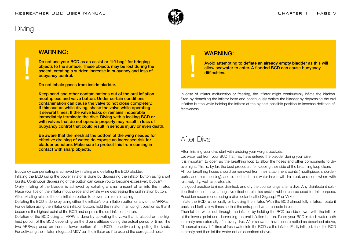

## Diving

 $\Box$ 

## WARNING:

Do not use your BCD as an assist or "lift bag" for bringing objects to the surface. These objects may be lost during the ascent, creating a sudden increase in buoyancy and loss of buoyancy control.

Do not inhale gases from inside bladder.

Keep sand and other contaminations out of the oral inflation mouthpiece and valve button. Under certain conditions contamination can cause the valve to not close completely. If this occurs while diving, shake the valve while operating it several times. If the valve leaks or remains inoperable immediately terminate the dive. Diving with a leaking BCD or with valves that do not operate properly may result in loss of buoyancy control that could result in serious injury or even death.

Be aware that the mesh at the bottom of the wing needed for effective draining of water, do expose an increased risk for bladder puncture. Make sure to protect this from coming in contact with sharp objects.

Buoyancy compensating is achieved by inflating and deflating the BCD bladder. Inflating the BCD using the power inflator is done by depressing the inflator button using short bursts. Continuous depressing of the button can cause you to become excessively buoyant. Orally inflating of the bladder is achieved by exhaling a small amount of air into the inflator. Place your lips on the inflator mouthpiece and exhale while depressing the oral inflation button. After exhaling release the oral inflation button to prevent air from escaping.

Deflating the BCD is done by using either the inflator's oral inflation button or any of the APRV:s. For deflation using the inflator oral inflation button, hold the inflator in an upright position so that it becomes the highest point of the BCD and depress the oral inflation button.

Deflation of the BCD using an APRV is done by activating the valve that is placed on the highest portion of the BCD depending on the diver's attitude during the actual period of time. The two APRV:s placed on the rear lower portion of the BCD are activated by pulling the knob. For activating the inflator integrated MDV pull the inflator as if to extend the corrugated hose.

## WARNING:

Avoid attempting to deflate an already empty bladder as this will allow seawater to enter. A flooded BCD can cause buoyancy difficulties.

In case of inflator malfunction or freezing, the inflator might continuously inflate the bladder. Start by detaching the inflator hose and continuously deflate the bladder by depressing the oral inflation button while holding the inflator at the highest possible position to increase deflation effectiveness.

# After Dive

After finishing your dive start with undoing your weight pockets.

Let water out from your BCD that may have entered the bladder during your dive.

It is important to open up the breathing loop to allow the hoses and other components to dry overnight. This is, by far, the best procedure for keeping theinside of the breathing loop clean. All four breathing hoses should be removed from their attachment points (mouthpiece, shoulderports, and main housing), and placed such that water inside will drain out, and somewhere with relatively dry, well-circulated air.

It is good practice to rinse, disinfect, and dry the counterlungs after a dive. Any disinfectant solution that doesn't have a negative effect on plastics and/or rubber can be used for this purpose. Poseidon recommends using a disinfectant called Gigasept™ or Virkon.

Inflate the BCD, either orally or by using the inflator. With the BCD almost fully inflated, rotate it back and forth a few times so that the entrapped water collects inside.

Then let the water out through the inflator, by holding the BCD up side down, with the inflator at the lowest point and depressing the oral inflation button. Rinse your BCD in fresh water both internally and externally after every dive. After seawater have been emptied as described above, fill approximately 1-2 litres of fresh water into the BCD via the inflator. Partly inflated, rinse the BCD internally and then let the water out as described above.